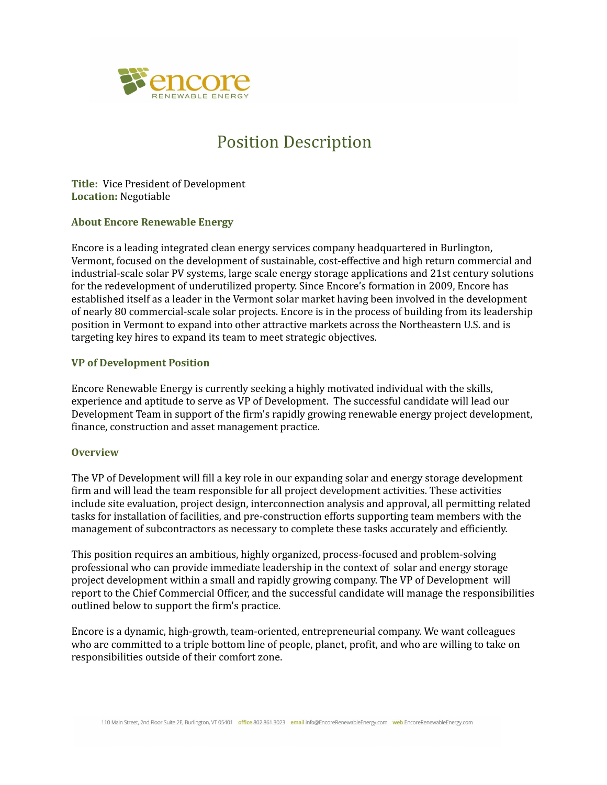

# Position Description

**Title:** Vice President of Development **Location:** Negotiable

# **About Encore Renewable Energy**

Encore is a leading integrated clean energy services company headquartered in Burlington, Vermont, focused on the development of sustainable, cost-effective and high return commercial and industrial-scale solar PV systems, large scale energy storage applications and 21st century solutions for the redevelopment of underutilized property. Since Encore's formation in 2009, Encore has established itself as a leader in the Vermont solar market having been involved in the development of nearly 80 commercial-scale solar projects. Encore is in the process of building from its leadership position in Vermont to expand into other attractive markets across the Northeastern U.S. and is targeting key hires to expand its team to meet strategic objectives.

# **VP of Development Position**

Encore Renewable Energy is currently seeking a highly motivated individual with the skills, experience and aptitude to serve as VP of Development. The successful candidate will lead our Development Team in support of the firm's rapidly growing renewable energy project development, finance, construction and asset management practice.

#### **Overview**

The VP of Development will fill a key role in our expanding solar and energy storage development firm and will lead the team responsible for all project development activities. These activities include site evaluation, project design, interconnection analysis and approval, all permitting related tasks for installation of facilities, and pre-construction efforts supporting team members with the management of subcontractors as necessary to complete these tasks accurately and efficiently.

This position requires an ambitious, highly organized, process-focused and problem-solving professional who can provide immediate leadership in the context of solar and energy storage project development within a small and rapidly growing company. The VP of Development will report to the Chief Commercial Officer, and the successful candidate will manage the responsibilities outlined below to support the firm's practice.

Encore is a dynamic, high-growth, team-oriented, entrepreneurial company. We want colleagues who are committed to a triple bottom line of people, planet, profit, and who are willing to take on responsibilities outside of their comfort zone.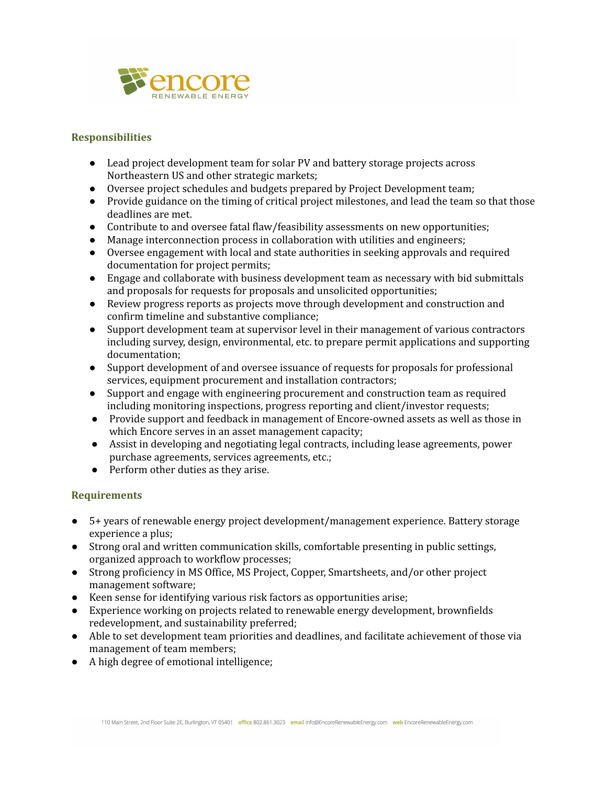

# **Responsibilities**

- Lead project development team for solar PV and battery storage projects across Northeastern US and other strategic markets;
- Oversee project schedules and budgets prepared by Project Development team;
- Provide guidance on the timing of critical project milestones, and lead the team so that those deadlines are met.
- Contribute to and oversee fatal flaw/feasibility assessments on new opportunities;
- Manage interconnection process in collaboration with utilities and engineers;
- Oversee engagement with local and state authorities in seeking approvals and required documentation for project permits;
- Engage and collaborate with business development team as necessary with bid submittals and proposals for requests for proposals and unsolicited opportunities;
- Review progress reports as projects move through development and construction and confirm timeline and substantive compliance;
- Support development team at supervisor level in their management of various contractors including survey, design, environmental, etc. to prepare permit applications and supporting documentation;
- Support development of and oversee issuance of requests for proposals for professional services, equipment procurement and installation contractors;
- Support and engage with engineering procurement and construction team as required including monitoring inspections, progress reporting and client/investor requests;
- Provide support and feedback in management of Encore-owned assets as well as those in which Encore serves in an asset management capacity;
- Assist in developing and negotiating legal contracts, including lease agreements, power purchase agreements, services agreements, etc.;
- Perform other duties as they arise.

# **Requirements**

- 5+ years of renewable energy project development/management experience. Battery storage experience a plus;
- Strong oral and written communication skills, comfortable presenting in public settings, organized approach to workflow processes;
- Strong proficiency in MS Office, MS Project, Copper, Smartsheets, and/or other project management software;
- Keen sense for identifying various risk factors as opportunities arise;
- Experience working on projects related to renewable energy development, brownfields redevelopment, and sustainability preferred;
- Able to set development team priorities and deadlines, and facilitate achievement of those via management of team members;
- A high degree of emotional intelligence;